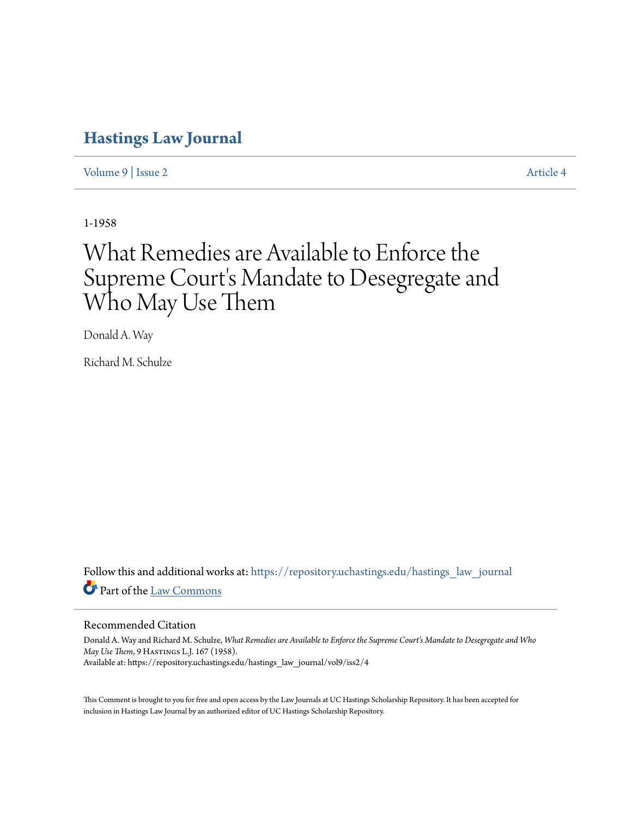## **[Hastings Law Journal](https://repository.uchastings.edu/hastings_law_journal?utm_source=repository.uchastings.edu%2Fhastings_law_journal%2Fvol9%2Fiss2%2F4&utm_medium=PDF&utm_campaign=PDFCoverPages)**

[Volume 9](https://repository.uchastings.edu/hastings_law_journal/vol9?utm_source=repository.uchastings.edu%2Fhastings_law_journal%2Fvol9%2Fiss2%2F4&utm_medium=PDF&utm_campaign=PDFCoverPages) | [Issue 2](https://repository.uchastings.edu/hastings_law_journal/vol9/iss2?utm_source=repository.uchastings.edu%2Fhastings_law_journal%2Fvol9%2Fiss2%2F4&utm_medium=PDF&utm_campaign=PDFCoverPages) [Article 4](https://repository.uchastings.edu/hastings_law_journal/vol9/iss2/4?utm_source=repository.uchastings.edu%2Fhastings_law_journal%2Fvol9%2Fiss2%2F4&utm_medium=PDF&utm_campaign=PDFCoverPages)

1-1958

# What Remedies are Available to Enforce the Supreme Court's Mandate to Desegregate and Who May Use Them

Donald A. Way

Richard M. Schulze

Follow this and additional works at: [https://repository.uchastings.edu/hastings\\_law\\_journal](https://repository.uchastings.edu/hastings_law_journal?utm_source=repository.uchastings.edu%2Fhastings_law_journal%2Fvol9%2Fiss2%2F4&utm_medium=PDF&utm_campaign=PDFCoverPages) Part of the [Law Commons](http://network.bepress.com/hgg/discipline/578?utm_source=repository.uchastings.edu%2Fhastings_law_journal%2Fvol9%2Fiss2%2F4&utm_medium=PDF&utm_campaign=PDFCoverPages)

#### Recommended Citation

Donald A. Way and Richard M. Schulze, *What Remedies are Available to Enforce the Supreme Court's Mandate to Desegregate and Who May Use Them, 9 HASTINGS L.J.* 167 (1958). Available at: https://repository.uchastings.edu/hastings\_law\_journal/vol9/iss2/4

This Comment is brought to you for free and open access by the Law Journals at UC Hastings Scholarship Repository. It has been accepted for inclusion in Hastings Law Journal by an authorized editor of UC Hastings Scholarship Repository.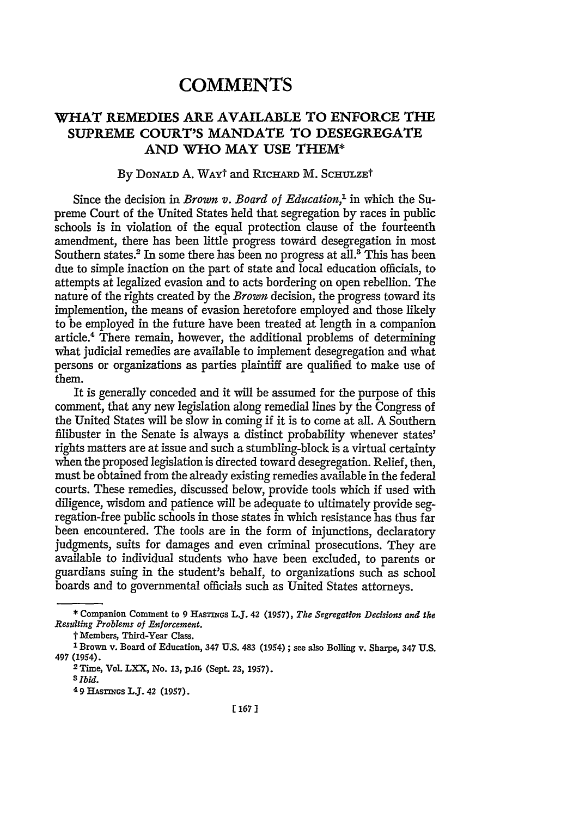### **COMMENTS**

#### **WHAT REMEDIES ARE AVAILABLE TO ENFORCE THE SUPREME COURT'S MANDATE** TO **DESEGREGATE AND WHO** MAY **USE** THEM\*

#### By DONALD A. WAY<sup>†</sup> and RICHARD M. SCHULZE<sup>†</sup>

Since the decision in *Brown v. Board of Education,'* in which the Supreme Court of the United States held that segregation by races in public schools is in violation of the equal protection clause of the fourteenth amendment, there has been little progress toward desegregation in most Southern states.<sup>2</sup> In some there has been no progress at all.<sup>3</sup> This has been due to simple inaction on the part of state and local education officials, to attempts at legalized evasion and to acts bordering on open rebellion. The nature of the rights created **by** the *Brown* decision, the progress toward its implemention, the means of evasion heretofore employed and those likely to be employed in the future have been treated at length in a companion article.4 There remain, however, the additional problems of determining what judicial remedies are available to implement desegregation and what persons or organizations as parties plaintiff are qualified to make use of them.

It is generally conceded and it will be assumed for the purpose of this comment, that any new legislation along remedial lines **by** the Congress of the United States will be slow in coming if it is to come at all. A Southern filibuster in the Senate is always a distinct probability whenever states' rights matters are at issue and such a stumbling-block is a virtual certainty when the proposed legislation is directed toward desegregation. Relief, then, must be obtained from the already existing remedies available in the federal courts. These remedies, discussed below, provide tools which if used with diligence, wisdom and patience will be adequate to ultimately provide segregation-free public schools in those states in which resistance has thus far been encountered. The tools are in the form of injunctions, declaratory judgments, suits for damages and even criminal prosecutions. They are available to individual students who have been excluded, to parents or guardians suing in the student's behalf, to organizations such as school boards and to governmental officials such as United States attorneys.

**<sup>\*</sup>** Companion Comment to **9** *HAsnacs* L.J. 42 (1957), *The Segregation Decisions and the Resulting Problems of Enforcement.*

tMembers, Third-Year Class.

**I** Brown v. Board of Education, 347 **U.S.** 483 (1954) **;** see also Boiling v. Sharpe, 347 **U.S.** 497 (1954).

<sup>&</sup>lt;sup>2</sup> Time, Vol. LXX, No. 13, p.16 (Sept. 23, 1957).

*S Ibid.*

<sup>&</sup>lt;sup>4</sup> 9 HASTINGS L.J. 42 (1957).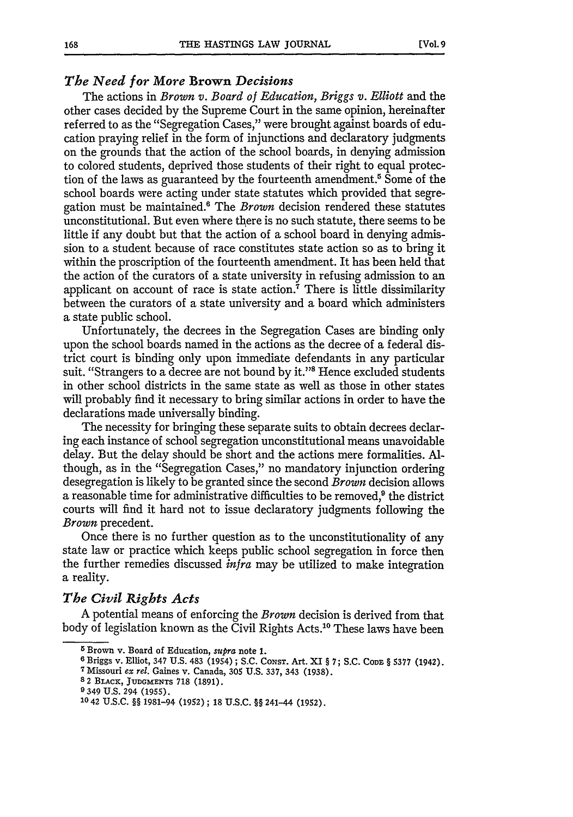#### *The Need for More* **Brown** *Decisions*

The actions in *Brown v. Board of Education, Briggs v. Elliott* and the other cases decided by the Supreme Court in the same opinion, hereinafter referred to as the "Segregation Cases," were brought against boards of education praying relief in the form of injunctions and declaratory judgments on the grounds that the action of the school boards, in denying admission to colored students, deprived those students of their right to equal protection of the laws as guaranteed by the fourteenth amendment.<sup>5</sup> Some of the school boards were acting under state statutes which provided that segregation must be maintained.6 The *Brown* decision rendered these statutes unconstitutional. But even where there is no such statute, there seems to be little if any doubt but that the action of a school board in denying admission to a student because of race constitutes state action so as to bring it within the proscription of the fourteenth amendment. It has been held that the action of the curators of a state university in refusing admission to an applicant on account of race is state action.' There is little dissimilarity between the curators of a state university and a board which administers a state public school.

Unfortunately, the decrees in the Segregation Cases are binding only upon the school boards named in the actions as the decree of a federal district court is binding only upon immediate defendants in any particular suit. "Strangers to a decree are not bound by it."<sup>8</sup> Hence excluded students in other school districts in the same state as well as those in other states will probably find it necessary to bring similar actions in order to have the declarations made universally binding.

The necessity for bringing these separate suits to obtain decrees declaring each instance of school segregation unconstitutional means unavoidable delay. But the delay should be short and the actions mere formalities. Although, as in the "Segregation Cases," no mandatory injunction ordering desegregation is likely to be granted since the second *Brown* decision allows a reasonable time for administrative difficulties to be removed, $9$  the district courts will find it hard not to issue declaratory judgments following the *Brown* precedent.

Once there is no further question as to the unconstitutionality of any state law or practice which keeps public school segregation in force then the further remedies discussed *infra* may be utilized to make integration a reality.

#### *The Civil Rights Acts*

A potential means of enforcing the *Brown* decision is derived from that body of legislation known as the Civil Rights Acts." These laws have been

**<sup>5</sup>** Brown **v.** Board of Education, *supra* **note 1.**

**<sup>6</sup>** Briggs **v.** Elliot, 347 **U.S.** 483 (1954) **; S.C.** CONST. Art. **XI** § **7; S.C.** COma § **5377** (1942).

**<sup>7</sup>**Missouri *ex rel.* Gaines **v.** Canada, **305 U.S. 337,** 343 **(1938).**

**<sup>8</sup>** 2 BLACK, **JUDGMENTS 718 (1891).**

**<sup>9</sup>** 349 **U.S.** 294 **(1955).**

**<sup>1042</sup> U.S.C.** §§ 1981-94 **(1952) ; 18 U.S.C.** §§ 241-44 **(1952).**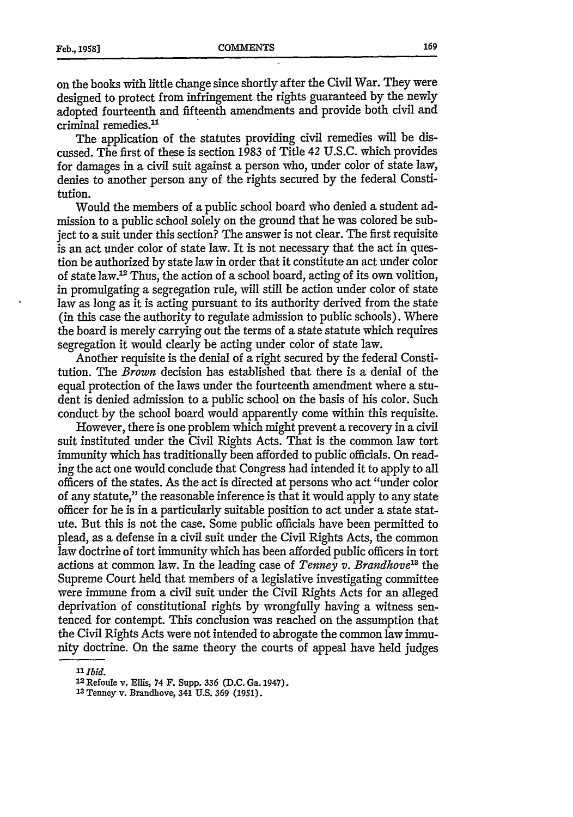on the books with little change since shortly after the Civil War. They were designed to protect from infringement the rights guaranteed by the newly adopted fourteenth and fifteenth amendments and provide both civil and criminal remedies.<sup>11</sup>

The application of the statutes providing civil remedies will be discussed. The first of these is section 1983 of Title 42 U.S.C. which provides for damages in a civil suit against a person who, under color of state law, denies to another person any of the rights secured by the federal Constitution.

Would the members of a public school board who denied a student admission to a public school solely on the ground that he was colored be subject to a suit under this section? The answer is not clear. The first requisite is an act under color of state law. It is not necessary that the act in question be authorized by state law in order that it constitute an act under color of state law.<sup>12</sup> Thus, the action of a school board, acting of its own volition, in promulgating a segregation rule, will still be action under color of state law as long as it is acting pursuant to its authority derived from the state (in this case the authority to regulate admission to public schools). Where the board is merely carrying out the terms of a state statute which requires segregation it would clearly be acting under color of state law.

Another requisite is the denial of a right secured by the federal Constitution. The *Brown* decision has established that there is a denial of the equal protection of the laws under the fourteenth amendment where a student is denied admission to a public school on the basis of his color. Such conduct by the school board would apparently come within this requisite.

However, there is one problem which might prevent a recovery in a civil suit instituted under the Civil Rights Acts. That is the common law tort immunity which has traditionally been afforded to public officials. On reading the act one would conclude that Congress had intended it to apply to all officers of the states. As the act is directed at persons who act "under color of any statute," the reasonable inference is that it would apply to any state officer for he is in a particularly suitable position to act under a state statute. But this is not the case. Some public officials have been permitted to plead, as a defense in a civil suit under the Civil Rights Acts, the common law doctrine of tort immunity which has been afforded public officers in tort actions at common law. In the leading case of *Tenney v. Brandhove13* the Supreme Court held that members of a legislative investigating committee were immune from a civil suit under the Civil Rights Acts for an alleged deprivation of constitutional rights by wrongfully having a witness sentenced for contempt. This conclusion was reached on the assumption that the Civil Rights Acts were not intended to abrogate the common law immunity doctrine. On the same theory the courts of appeal have held judges

*<sup>11</sup>Ibid.*

<sup>1</sup> <sup>2</sup> Refoule v. Ellis, 74 F. Supp. **336 (D.C.** Ga. 1947).

**<sup>13</sup>** Tenney v. Brandhove, 341 **U.S. 369** (1951).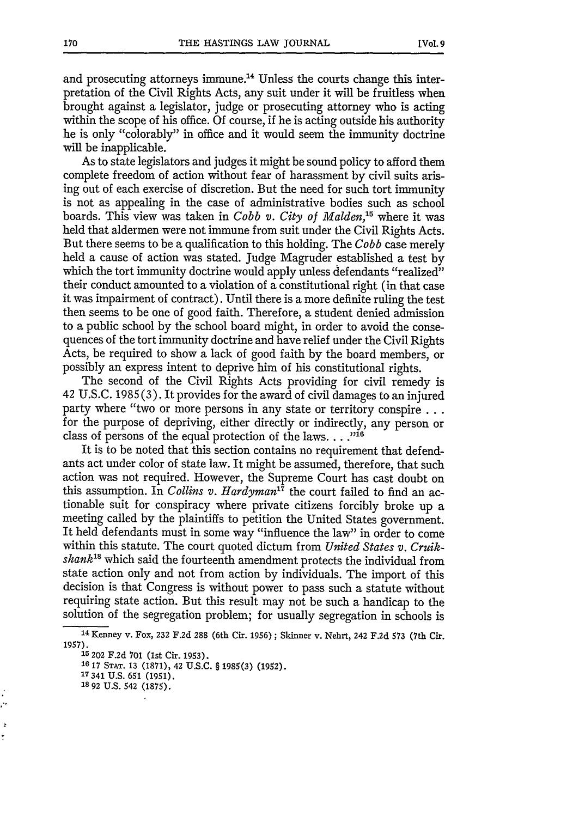and prosecuting attorneys immune.<sup>14</sup> Unless the courts change this interpretation of the Civil Rights Acts, any suit under it will be fruitless when brought against a legislator, judge or prosecuting attorney who is acting within the scope of his office. Of course, if he is acting outside his authority he is only "colorably" in office and it would seem the immunity doctrine will be inapplicable.

As to state legislators and judges it might be sound policy to afford them complete freedom of action without fear of harassment by civil suits arising out of each exercise of discretion. But the need for such tort immunity is not as appealing in the case of administrative bodies such as school boards. This view was taken in *Cobb v. City of Malden*<sup>15</sup> where it was held that aldermen were not immune from suit under the Civil Rights Acts. But there seems to be a qualification to this holding. The *Cobb* case merely held a cause of action was stated. Judge Magruder established a test by which the tort immunity doctrine would apply unless defendants "realized" their conduct amounted to a violation of a constitutional right (in that case it was impairment of contract). Until there is a more definite ruling the test then seems to be one of good faith. Therefore, a student denied admission to a public school by the school board might, in order to avoid the consequences of the tort immunity doctrine and have relief under the Civil Rights Acts, be required to show a lack of good faith by the board members, or possibly an express intent to deprive him of his constitutional rights.

The second of the Civil Rights Acts providing for civil remedy is 42 U.S.C. 1985 (3). It provides for the award of civil damages to an injured party where "two or more persons in any state or territory conspire... for the purpose of depriving, either directly or indirectly, any person or class of persons of the equal protection of the laws.  $\dots$ <sup>116</sup>

It is to be noted that this section contains no requirement that defendants act under color of state law. It might be assumed, therefore, that such action was not required. However, the Supreme Court has cast doubt on this assumption. In *Collins v. Hardyman*<sup>17</sup> the court failed to find an actionable suit for conspiracy where private citizens forcibly broke up a meeting called by the plaintiffs to petition the United States government. It held defendants must in some way "influence the law" in order to come within this statute. The court quoted dictum from *United States v. Cruikshank*<sup>18</sup> which said the fourteenth amendment protects the individual from state action only and not from action by individuals. The import of this decision is that Congress is without power to pass such a statute without requiring state action. But this result may not be such a handicap to the solution of the segregation problem; for usually segregation in schools is

**15** 202 **F.2d 701** (1st Cir. **1953).**

<sup>14</sup>Kenney v. Fox, **232 F.2d 288** (6th Cir. **1956) ;** Skinner v. Nehrt, 242 **F.2d 573** (7th Cir. **1957).**

**<sup>16 17</sup> STAT. 13 (1871),** 42 **U.S.C.** § **1985(3) (1952).**

**<sup>17</sup>** 341 **U.S. 651 (1951).**

**<sup>18</sup> 92 U.S.** 542 **(1875).**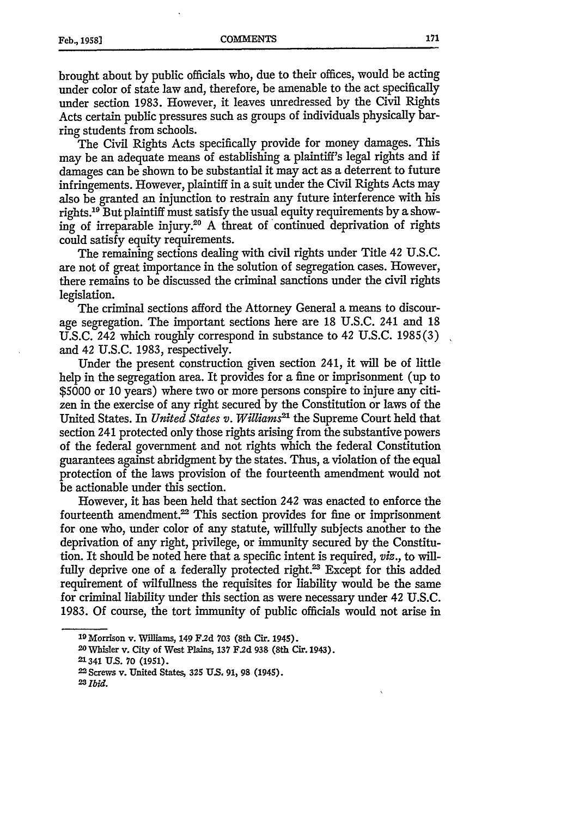brought about **by** public officials who, due to their offices, would be acting under color of state law and, therefore, be amenable to the act specifically under section 1983. However, it leaves unredressed by the Civil Rights Acts certain public pressures such as groups of individuals physically barring students from schools.

The Civil Rights Acts specifically provide for money damages. This may be an adequate means of establishing a plaintiff's legal rights and if damages can be shown to be substantial it may act as a deterrent to future infringements. However, plaintiff in a suit under the Civil Rights Acts may also be granted an injunction to restrain any future interference with his rights. 19 But plaintiff must satisfy the usual equity requirements by a showing of irreparable injury.<sup>20</sup> A threat of continued deprivation of rights could satisfy equity requirements.

The remaining sections dealing with civil rights under Title 42 U.S.C. are not of great importance in the solution of segregation cases. However, there remains to be discussed the criminal sanctions under the civil rights legislation.

The criminal sections afford the Attorney General a means to discourage segregation. The important sections here are 18 U.S.C. 241 and 18 U.S.C. 242 which roughly correspond in substance to 42 U.S.C. 1985(3) and 42 U.S.C. 1983, respectively.

Under the present construction given section 241, it will be of little help in the segregation area. It provides for a fine or imprisonment (up to \$5000 or 10 years) where two or more persons conspire to injure any citizen in the exercise of any right secured by the Constitution or laws of the United States. In *United States v. Williams*<sup>21</sup> the Supreme Court held that section 241 protected only those rights arising from the substantive powers of the federal government and not rights which the federal Constitution guarantees against abridgment by the states. Thus, a violation of the equal protection of the laws provision of the fourteenth amendment would not be actionable under this section.

However, it has been held that section *242* was enacted to enforce the fourteenth amendment.<sup>22</sup> This section provides for fine or imprisonment for one who, under color of any statute, willfully subjects another to the deprivation of any right, privilege, or immunity secured by the Constitution. It should be noted here that a specific intent is required, *viz.,* to willfully deprive one of a federally protected right.<sup>23</sup> Except for this added requirement of wilfullness the requisites for liability would be the same for criminal liability under this section as were necessary under 42 U.S.C. 1983. Of course, the tort immunity of public officials would not arise in

**<sup>19</sup>** Morrison v. Wlliams, 149 **F.2d** 703 (8th Cir. 1945).

**<sup>20</sup>** Whisler v. City of West Plains, **137 F.2d 938** (8th Cir. 1943).

<sup>21341</sup> **U.S. 70 (1951).**

**<sup>=</sup>**Screws v. United States, **325** *US,* **91, 98** (1945). *<sup>2</sup> <sup>3</sup> Ibid.*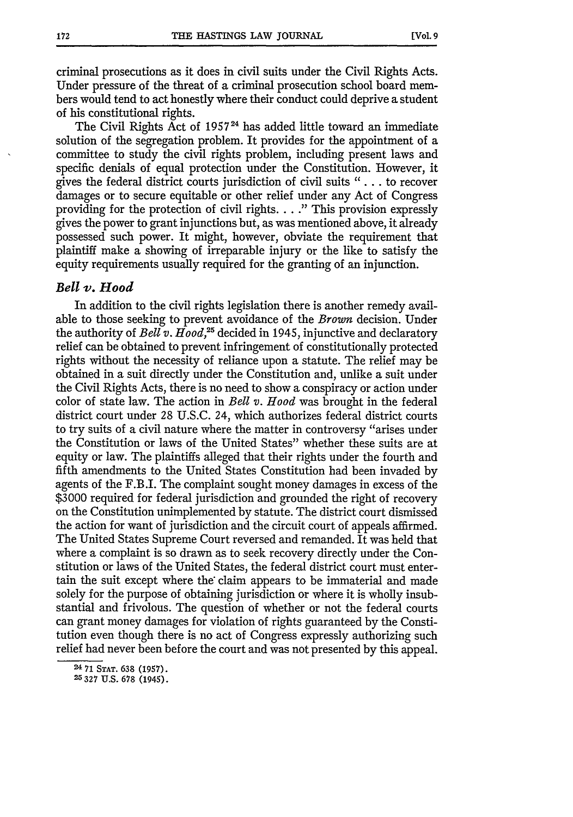criminal prosecutions as it does in civil suits under the Civil Rights Acts. Under pressure of the threat of a criminal prosecution school board members would tend to act honestly where their conduct could deprive a student of his constitutional rights.

The Civil Rights Act of **195724** has added little toward an immediate solution of the segregation problem. It provides for the appointment of a committee to study the civil rights problem, including present laws and specific denials of equal protection under the Constitution. However, it gives the federal district courts jurisdiction of civil suits *"* ... to recover damages or to secure equitable or other relief under any Act of Congress providing for the protection of civil rights. **..** " This provision expressly gives the power to grant injunctions but, as was mentioned above, it already possessed such power. It might, however, obviate the requirement that plaintiff make a showing of irreparable injury or the like to satisfy the equity requirements usually required for the granting of an injunction.

#### *Bell v. Hood*

In addition to the civil rights legislation there is another remedy available to those seeking to prevent avoidance of the *Brown* decision. Under the authority of *Bell v. Hood*<sup>25</sup> decided in 1945, injunctive and declaratory relief can be obtained to prevent infringement of constitutionally protected rights without the necessity of reliance upon a statute. The relief may be obtained in a suit directly under the Constitution and, unlike a suit under the Civil Rights Acts, there is no need to show a conspiracy or action under color of state law. The action in *Bell v. Hood* was brought in the federal district court under 28 U.S.C. 24, which authorizes federal district courts to try suits of a civil nature where the matter in controversy "arises under the Constitution or laws of the United States" whether these suits are at equity or law. The plaintiffs alleged that their rights under the fourth and fifth amendments to the United States Constitution had been invaded by agents of the F.B.I. The complaint sought money damages in excess of the \$3000 required for federal jurisdiction and grounded the right of recovery on the Constitution unimplemented by statute. The district court dismissed the action for want of jurisdiction and the circuit court of appeals affirmed. The United States Supreme Court reversed and remanded. It was held that where a complaint is so drawn as to seek recovery directly under the Constitution or laws of the United States, the federal district court must entertain the suit except where the" claim appears to be immaterial and made solely for the purpose of obtaining jurisdiction or where it is wholly insubstantial and frivolous. The question of whether or not the federal courts can grant money damages for violation of rights guaranteed by the Constitution even though there is no act of Congress expressly authorizing such relief had never been before the court and was not presented by this appeal.

**<sup>24 71</sup> STAT. 638 (1957).**

**<sup>2327</sup> U.S. 678** (1945).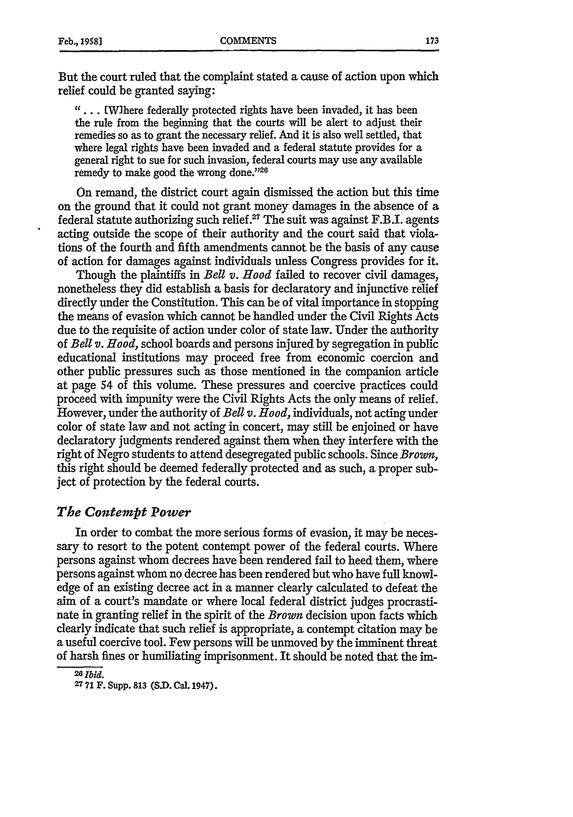But the court ruled that the complaint stated a cause of action upon which relief could be granted saying:

**'...** [Wihere federally protected rights have been invaded, it has been the rule from the beginning that the courts will be alert to adjust their remedies so as to grant the necessary relief. And it is also well settled, that where legal rights have been invaded and a federal statute provides for a general right to sue for such invasion, federal courts may use any available remedy to make good the wrong done."26

On remand, the district court again dismissed the action but this time on the ground that it could not grant money damages in the absence of a federal statute authorizing such relief.<sup>27</sup> The suit was against F.B.I. agents acting outside the scope of their authority and the court said that violations of the fourth and fifth amendments cannot be the basis of any cause of action for damages against individuals unless Congress provides for it.

Though the plaintiffs in *Bell v. Hood* failed to recover civil damages, nonetheless they did establish a basis for declaratory and injunctive relief directly under the Constitution. This can be of vital importance in stopping the means of evasion which cannot be handled under the Civil Rights Acts due to the requisite of action under color of state law. Under the authority of *Bell v. Hood,* school boards and persons injured by segregation in public educational institutions may proceed free from economic coercion and other public pressures such as those mentioned in the companion article at page 54 of this volume. These pressures and coercive practices could proceed with impunity were the Civil Rights Acts the only means of relief. However, under the authority of *Bell v. Hood,* individuals, not acting under color of state law and not acting in concert, may still be enjoined or have declaratory judgments rendered against them when they interfere with the right of Negro students to attend desegregated public schools. Since *Brown,* this right should be deemed federally protected and as such, a proper subject of protection by the federal courts.

#### *The Contempt Power*

In order to combat the more serious forms of evasion, it may be necessary to resort to the potent contempt power of the federal courts. Where persons against whom decrees have been rendered fail to heed them, where persons against whom no decree has been rendered but who have full knowledge of an existing decree act in a manner clearly calculated to defeat the aim of a court's mandate or where local federal district judges procrastinate in granting relief in the spirit of the *Brown* decision upon facts which clearly indicate that such relief is appropriate, a contempt citation may be a useful coercive tool. Few persons will be unmoved by the imminent threat of harsh fines or humiliating imprisonment. It should be noted that the im-

<sup>26</sup> *Ibid.* 2771 F. Supp. 813 **(S.D.** Cal. 1947).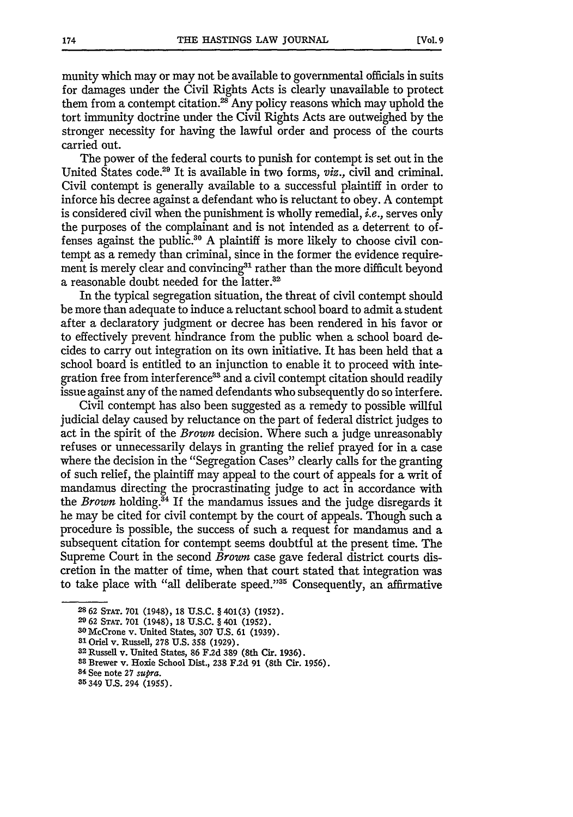munity which may or may not be available to governmental officials in suits for damages under the Civil Rights Acts is clearly unavailable to protect them from a contempt citation.<sup>28</sup> Any policy reasons which may uphold the tort immunity doctrine under the Civil Rights Acts are outweighed by the stronger necessity for having the lawful order and process of the courts carried out.

The power of the federal courts to punish for contempt is set out in the United States code.<sup>29</sup> It is available in two forms, *viz.*, civil and criminal. Civil contempt is generally available to a successful plaintiff in order to inforce his decree against a defendant who is reluctant to obey. A contempt is considered civil when the punishment is wholly remedial, *i.e.*, serves only the purposes of the complainant and is not intended as a deterrent to offenses against the public.<sup>30</sup> A plaintiff is more likely to choose civil contempt as a remedy than criminal, since in the former the evidence requirement is merely clear and convincing<sup>31</sup> rather than the more difficult beyond a reasonable doubt needed for the latter.<sup>32</sup>

In the typical segregation situation, the threat of civil contempt should be more than adequate to induce a reluctant school board to admit a student after a declaratory judgment or decree has been rendered in his favor or to effectively prevent hindrance from the public when a school board decides to carry out integration on its own initiative. It has been held that a school board is entitled to an injunction to enable it to proceed with integration free from interference<sup>33</sup> and a civil contempt citation should readily issue against any of the named defendants who subsequently do so interfere.

Civil contempt has also been suggested as a remedy to possible willful judicial delay caused by reluctance on the part of federal district judges to act in the spirit of the *Brown* decision. Where such a judge unreasonably refuses or unnecessarily delays in granting the relief prayed for in a case where the decision in the "Segregation Cases" clearly calls for the granting of such relief, the plaintiff may appeal to the court of appeals for a writ of mandamus directing the procrastinating judge to act in accordance with the *Brown* holding.<sup>34</sup> If the mandamus issues and the judge disregards it he may be cited for civil contempt by the court of appeals. Though such a procedure is possible, the success of such a request for mandamus and a subsequent citation for contempt seems doubtful at the present time. The Supreme Court in the second Brown case gave federal district courts discretion in the matter of time, when that court stated that integration was to take place with "all deliberate speed."35 Consequently, an affirmative

**<sup>28 62</sup> STAT. 701** (1948), **18** U.S.C. § 401(3) (1952).

w **62 STAT. 701** (1948), **18 U.S.C. §** 401 **(1952).**

<sup>30</sup>McCrone v. United States, **307 U.S. 61 (1939).**

**<sup>81</sup>**Oriel **v.** Russell, **278 U.S. 358 (1929). <sup>82</sup>**Russell v. United States, **86 F.2d 389** (8th Cir. **1936).**

**<sup>88</sup>** Brewer v. **Hoxie** School Dist., **238 F.2d 91** (8th Cir. **1956).**

<sup>84</sup> See note **27** *supra.*

**<sup>35349</sup> US.** 294 **(1955).**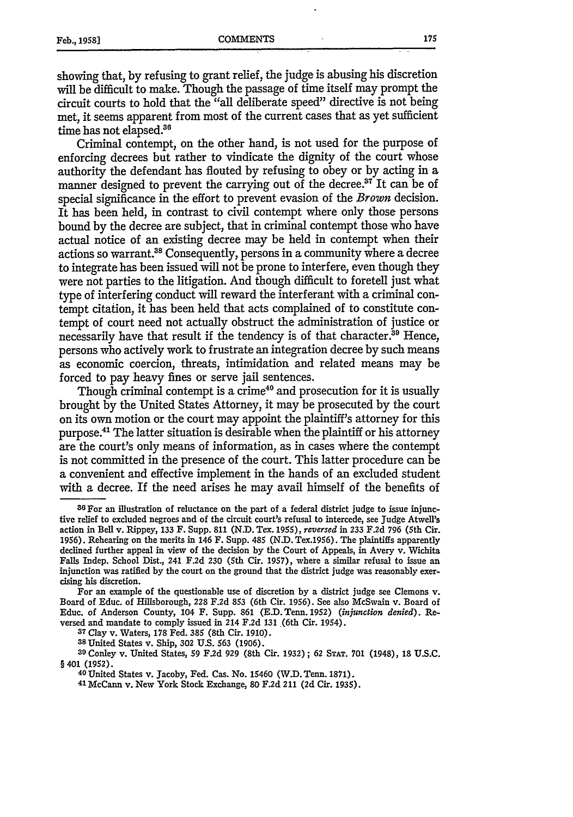showing that, by refusing to grant relief, the judge is abusing his discretion will be difficult to make. Though the passage of time itself may prompt the circuit courts to hold that the "all deliberate speed" directive is not being met, it seems apparent from most of the current cases that as yet sufficient time has not elapsed.<sup>36</sup>

Criminal contempt, on the other hand, is not used for the purpose of enforcing decrees but rather to vindicate the dignity of the court whose authority the defendant has flouted by refusing to obey or by acting in a manner designed to prevent the carrying out of the decree.<sup>37</sup> It can be of special significance in the effort to prevent evasion of the Brown decision. It has been held, in contrast to civil contempt where only those persons bound by the decree are subject, that in criminal contempt those who have actual notice of an existing decree may be held in contempt when their actions so warrant. 38 Consequently, persons in a community where a decree to integrate has been issued will not be prone to interfere, even though they were not parties to the litigation. And though difficult to foretell just what type of interfering conduct will reward the interferant with a criminal contempt citation, it has been held that acts complained of to constitute contempt of court need not actually obstruct the administration of justice or necessarily have that result if the tendency is of that character.<sup>39</sup> Hence, persons who actively work to frustrate an integration decree by such means as economic coercion, threats, intimidation and related means may be forced to pay heavy fines or serve jail sentences.

Though criminal contempt is a crime<sup>40</sup> and prosecution for it is usually brought by the United States Attorney, it may be prosecuted by the court on its own motion or the court may appoint the plaintiff's attorney for this purpose.41 The latter situation is desirable when the plaintiff or his attorney are the court's only means of information, as in cases where the contempt is not committed in the presence of the court. This latter procedure can be a convenient and effective implement in the hands of an excluded student with a decree. If the need arises he may avail himself of the benefits of

SOFor an illustration of reluctance on the part of a federal district judge to issue injunctive relief to excluded negroes and of the circuit court's refusal to intercede, see Judge Atwell's action in Bell v. Rippey, **133** F. Supp. **811** (N.D. Tex. 1955), *reversed* in **233** F.2d 796 (5th Cir. 1956). Rehearing on the merits in 146 F. Supp. 485 (N.D. Tex.1956). The plaintiffs apparently declined further appeal in view of the decision by the Court of Appeals, in Avery v. Wichita Falls Indep. School Dist., 241 F.2d 230 (5th Cir. 1957), where a similar refusal to issue an injunction was ratified by the court on the ground that the district judge was reasonably exercising his discretion.

For an example of the questionable use of discretion by a district judge see Clemons v. Board of Educ. of Hilisborough, 228 F.2d 853 (6th Cir. 1956). See also McSwain v. Board of Educ. of Anderson County, 104 F. Supp. 861 **(E.D.** Tenn. 1952) *(injunction denied).* Reversed and mandate to comply issued in 214 F.2d 131 (6th Cir. 1954).

<sup>37</sup> Clay v. Waters, **178** Fed. 385 (8th Cir. 1910). **<sup>38</sup>**United States v. Ship, 302 U.S. 563 (1906).

**<sup>39</sup>** Conley v. United States, 59 **F.2d** 929 (8th Cir. 1932) **;** 62 STAT. **701** (1948), 18 U.S.C. §401 **(1952).**

<sup>40</sup>**United** States v. Jacoby, Fed. Cas. No. 15460 (W.D. Tenn. 1871). 41McCann v. New York Stock Exchange, **80** F.2d 211 (2d Cir. 1935).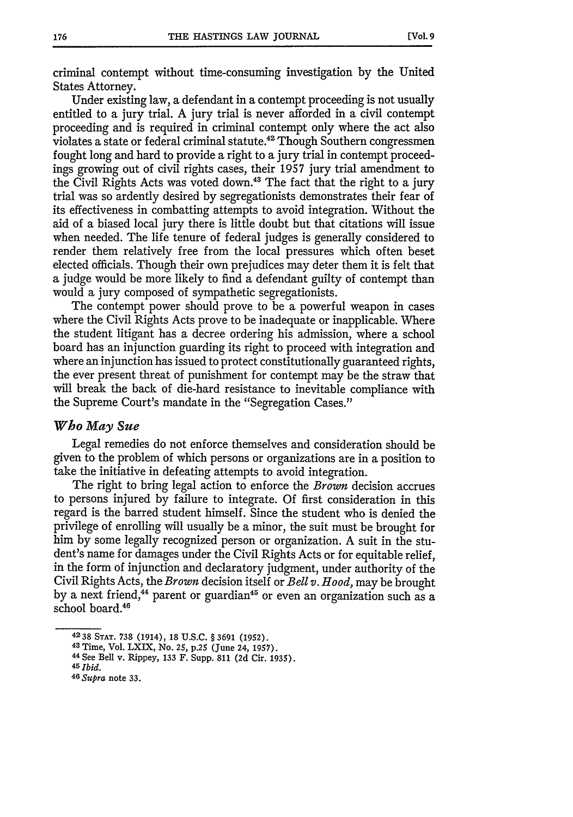criminal contempt without time-consuming investigation by the United States Attorney.

Under existing law, a defendant in a contempt proceeding is not usually entitled to a jury trial. A jury trial is never afforded in a civil contempt proceeding and is required in criminal contempt only where the act also violates a state or federal criminal statute.<sup>42</sup> Though Southern congressmen fought long and hard to provide a right to a jury trial in contempt proceedings growing out of civil rights cases, their 1957 jury trial amendment to the Civil Rights Acts was voted down.<sup>43</sup> The fact that the right to a jury trial was so ardently desired by segregationists demonstrates their fear of its effectiveness in combatting attempts to avoid integration. Without the aid of a biased local jury there is little doubt but that citations will issue when needed. The life tenure of federal judges is generally considered to render them relatively free from the local pressures which often beset elected officials. Though their own prejudices may deter them it is felt that a judge would be more likely to find a defendant guilty of contempt than would a jury composed of sympathetic segregationists.

The contempt power should prove to be a powerful weapon in cases where the Civil Rights Acts prove to be inadequate or inapplicable. Where the student litigant has a decree ordering his admission, where a school board has an injunction guarding its right to proceed with integration and where an injunction has issued to protect constitutionally guaranteed rights, the ever present threat of punishment for contempt may be the straw that will break the back of die-hard resistance to inevitable compliance with the Supreme Court's mandate in the "Segregation Cases."

#### *Who May Sue*

Legal remedies do not enforce themselves and consideration should be given to the problem of which persons or organizations are in a position to take the initiative in defeating attempts to avoid integration.

The right to bring legal action to enforce the *Brown* decision accrues to persons injured by failure to integrate. **Of** first consideration in this regard is the barred student himself. Since the student who is denied the privilege of enrolling will usually be a minor, the suit must be brought for him by some legally recognized person or organization. A suit in the student's name for damages under the Civil Rights Acts or for equitable relief, in the form of injunction and declaratory judgment, under authority of the Civil Rights Acts, the *Brown* decision itself or *Bell v. Hood,* may be brought by a next friend,<sup>44</sup> parent or guardian<sup>45</sup> or even an organization such as a school board.<sup>46</sup>

**<sup>4238</sup> STAT. 738** (1914), **18** U.S.C. § **3691 (1952).**

**<sup>43</sup>**Time, Vol. LXIX, No. **25, p.25** (June **24,** 1957).

<sup>44</sup>See Bell v. Rippey, **133** F. Supp. **811 (2d** Cir. **1935).** *<sup>45</sup> Ibid.*

*<sup>46</sup> Supra* note **33.**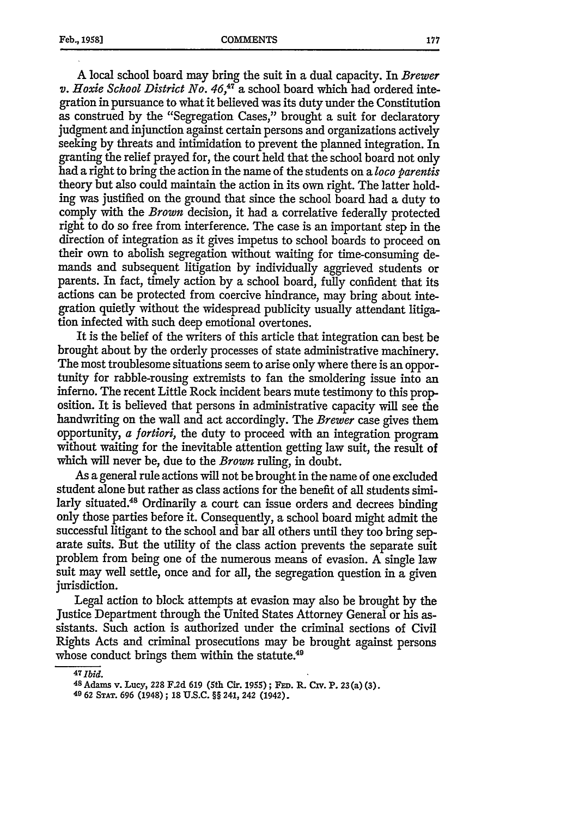**A** local school board may bring the suit in a dual capacity. In *Brewer v. Hoxie School District No. 46,17* a school board which had ordered **inte**gration in pursuance to what it believed was its duty under the Constitution as construed by the "Segregation Cases," brought a suit for declaratory judgment and injunction against certain persons and organizations actively seeking by threats and intimidation to prevent the planned integration. In granting the relief prayed for, the court held that the school board not only had a right to bring the action in the name of the students on a *loco parentis* theory but also could maintain the action in its own right. The latter holding was justified on the ground that since the school board had a duty to comply with the *Brown* decision, it had a correlative federally protected right to do so free from interference. The case is an important step in the direction of integration as it gives impetus to school boards to proceed on their own to abolish segregation without waiting for time-consuming demands and subsequent litigation by individually aggrieved students or parents. In fact, timely action by a school board, fully confident that its actions can be protected from coercive hindrance, may bring about integration quietly without the widespread publicity usually attendant litigation infected with such deep emotional overtones.

It is the belief of the writers of this article that integration can best be brought about by the orderly processes of state administrative machinery. The most troublesome situations seem to arise only where there is an opportunity for rabble-rousing extremists to fan the smoldering issue into an inferno. The recent Little Rock incident bears mute testimony to this proposition. It is believed that persons in administrative capacity will see the handwriting on the wall and act accordingly. The *Brewer* case gives them opportunity, *a fortiori,* the duty to proceed with an integration program without waiting for the inevitable attention getting law suit, the result of which will never be, due to the *Brown* ruling, in doubt.

As a general rule actions will not be brought in the name of one excluded student alone but rather as class actions for the benefit of all students similarly situated.<sup>48</sup> Ordinarily a court can issue orders and decrees binding only those parties before it. Consequently, a school board might admit the successful litigant to the school and bar all others until they too bring separate suits. But the utility of the class action prevents the separate suit problem from being one of the numerous means of evasion. A single law suit may well settle, once and for all, the segregation question in a given jurisdiction.

Legal action to block attempts at evasion may also be brought by the Justice Department through the United States Attorney General or his assistants. Such action is authorized under the criminal sections of Civil Rights Acts and criminal prosecutions may be brought against persons whose conduct brings them within the statute.<sup>49</sup>

*<sup>47</sup> Ibid.* **<sup>48</sup>**Adams v. Lucy, **228 F.2d 619 (Sth** Cir. **1955); FED. R. Civ. P. 23(a) (3).**

**<sup>49 62</sup> STAT. 696 (1948); 18 U.S.C.** §§ 241, **242 (1942).**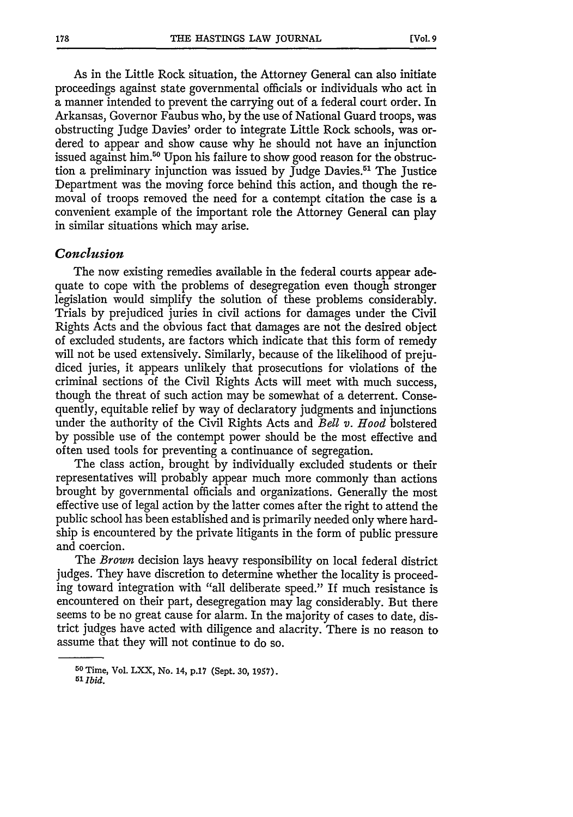As in the Little Rock situation, the Attorney General can also initiate proceedings against state governmental officials or individuals who act in a manner intended to prevent the carrying out of a federal court order. In Arkansas, Governor Faubus who, by the use of National Guard troops, was obstructing Judge Davies' order to integrate Little Rock schools, was ordered to appear and show cause why he should not have an injunction issued against him.<sup>50</sup> Upon his failure to show good reason for the obstruction a preliminary injunction was issued by Judge Davies.<sup>51</sup> The Justice Department was the moving force behind this action, and though the removal of troops removed the need for a contempt citation the case is a convenient example of the important role the Attorney General can play in similar situations which may arise.

#### *Conclusion*

The now existing remedies available in the federal courts appear adequate to cope with the problems of desegregation even though stronger legislation would simplify the solution of these problems considerably. Trials **by** prejudiced juries in civil actions for damages under the Civil Rights Acts and the obvious fact that damages are not the desired object of excluded students, are factors which indicate that this form of remedy will not be used extensively. Similarly, because of the likelihood of prejudiced juries, it appears unlikely that prosecutions for violations of the criminal sections of the Civil Rights Acts will meet with much success, though the threat of such action may be somewhat of a deterrent. Consequently, equitable relief **by** way of declaratory judgments and injunctions under the authority of the Civil Rights Acts and *Bell v. Hood* bolstered **by** possible use of the contempt power should be the most effective and often used tools for preventing a continuance of segregation.

The class action, brought **by** individually excluded students or their representatives will probably appear much more commonly than actions brought **by** governmental officials and organizations. Generally the most effective use of legal action by the latter comes after the right to attend the public school has been established and is primarily needed only where hardship is encountered by the private litigants in the form of public pressure and coercion.

The *Brown* decision lays heavy responsibility on local federal district judges. They have discretion to determine whether the locality is proceeding toward integration with "all deliberate speed." If much resistance is encountered on their part, desegregation may lag considerably. But there seems to be no great cause for alarm. In the majority of cases to date, district judges have acted with diligence and alacrity. There is no reason to assume that they will not continue to do so.

**<sup>50</sup>**Time, Vol. LXX, No. **14, p.17** (Sept. **30, 1957).** *<sup>5</sup> <sup>1</sup> Ibid.*